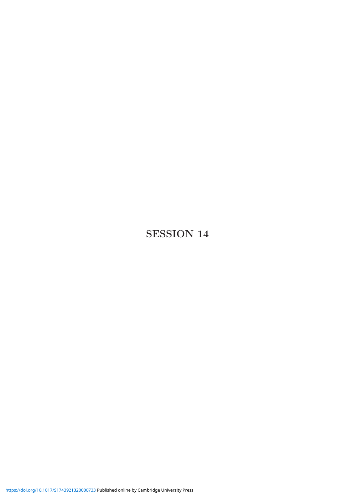## SESSION 14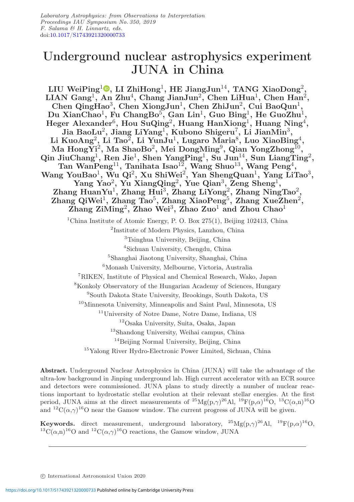# Underground nuclear astrophysics experiment JUNA in China

LIU Wei $\operatorname{Pingl}\nolimits^1\!\mathbb O,$  $\operatorname{Pingl}\nolimits^1\!\mathbb O,$  LI Zhi $\operatorname{Hom}\nolimits^1,$  HE JiangJun $^{14},$  TANG Xiao $\operatorname{Dong}\nolimits^2,$  ${\rm LIAN~Gang^1,~An~Zhu^4,~Chang~JianJun^2,~Chen~LiHua^1,~Chen~Han^2,}$ Chen QingHao<sup>3</sup>, Chen XiongJun<sup>1</sup>, Chen ZhiJun<sup>2</sup>, Cui BaoQun<sup>1</sup>, Du XianChao<sup>1</sup>, Fu ChangBo<sup>5</sup>, Gan Lin<sup>1</sup>, Guo Bing<sup>1</sup>, He GuoZhu<sup>1</sup> Heger Alexander<sup>6</sup>, Hou SuQing<sup>2</sup>, Huang HanXiong<sup>1</sup>, Huang Ning<sup>4</sup>, Jia BaoLu<sup>2</sup>, Jiang LiYang<sup>1</sup>, Kubono Shigeru<sup>7</sup>, Li JianMin<sup>3</sup>, Li KuoAng<sup>2</sup>, Li Tao<sup>2</sup>, Li YunJu<sup>1</sup>, Lugaro Maria<sup>8</sup>, Luo XiaoBing<sup>4</sup>, Ma HongYi<sup>2</sup>, Ma ShaoBo<sup>2</sup>, Mei DongMing<sup>9</sup>, Qian YongZhong<sup>I0</sup>, Qin JiuChang<sup>1</sup>, Ren Jie<sup>1</sup>, Shen YangPing<sup>1</sup>, Su Jun<sup>14</sup>, Sun LiangTing<sup>2</sup>, Tan Wan $\mathrm{Peng^{11}},$  Tanihata Isao $^{12},$  Wang Shuo $^{13},$  Wang  $\mathrm{Peng^{4}},$ Wang YouBao<sup>1</sup>, Wu Qi<sup>2</sup>, Xu ShiWei<sup>2</sup>, Yan ShengQuan<sup>1</sup>, Yang LiTao<sup>3</sup>, Yang Yao $^2$ , Yu XiangQing $^2$ , Yue Qian $^3$ , Zeng Sheng $^1$ , Zhang HuanYu<sup>1</sup>, Zhang Hui<sup>3</sup>, Zhang LiYong<sup>2</sup>, Zhang NingTao<sup>2</sup>, Zhang QiWei<sup>1</sup>, Zhang Tao<sup>5</sup>, Zhang XiaoPeng<sup>5</sup>, Zhang XueZhen<sup>2</sup>,  $\overline{Z}$ hang Zi $\overline{M}$ ing<sup>2</sup>, Zhao Wei<sup>3</sup>, Zhao Zuo<sup>1</sup> and Zhou Chao<sup>1</sup> <sup>1</sup>China Institute of Atomic Energy, P. O. Box  $275(1)$ , Beijing 102413, China <sup>2</sup>Institute of Modern Physics, Lanzhou, China <sup>3</sup>Tsinghua University, Beijing, China <sup>4</sup>Sichuan University, Chengdu, China <sup>5</sup>Shanghai Jiaotong University, Shanghai, China <sup>6</sup>Monash University, Melbourne, Victoria, Australia <sup>7</sup>RIKEN, Institute of Physical and Chemical Research, Wako, Japan <sup>8</sup>Konkoly Observatory of the Hungarian Academy of Sciences, Hungary

<sup>9</sup>South Dakota State University, Brookings, South Dakota, US

<sup>10</sup>Minnesota University, Minneapolis and Saint Paul, Minnesota, US

<sup>11</sup>University of Notre Dame, Notre Dame, Indiana, US

<sup>12</sup>Osaka University, Suita, Osaka, Japan

<sup>13</sup>Shandong University, Weihai campus, China

<sup>14</sup>Beijing Normal University, Beijing, China

<sup>15</sup>Yalong River Hydro-Electronic Power Limited, Sichuan, China

Abstract. Underground Nuclear Astrophysics in China (JUNA) will take the advantage of the ultra-low background in Jinping underground lab. High current accelerator with an ECR source and detectors were commissioned. JUNA plans to study directly a number of nuclear reactions important to hydrostatic stellar evolution at their relevant stellar energies. At the first period, JUNA aims at the direct measurements of  ${}^{25}Mg(p,\gamma){}^{26}Al, {}^{19}F(p,\alpha){}^{16}O, {}^{13}C(\alpha,n){}^{16}O$ and  ${}^{12}C(\alpha,\gamma){}^{16}O$  near the Gamow window. The current progress of JUNA will be given.

**Keywords.** direct measurement, underground laboratory,  ${}^{25}Mg(p,\gamma){}^{26}Al$ ,  ${}^{19}F(p,\alpha){}^{16}O$ ,  ${}^{13}C(\alpha, n){}^{16}O$  and  ${}^{12}C(\alpha, \gamma){}^{16}O$  reactions, the Gamow window, JUNA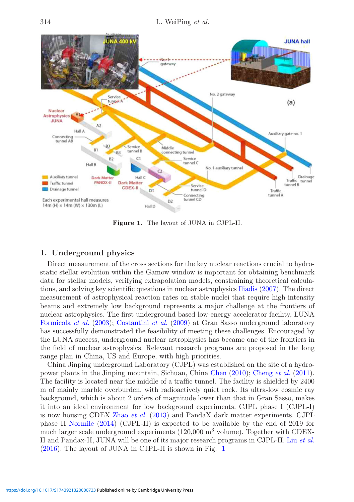<span id="page-3-0"></span>

Figure 1. The layout of JUNA in CJPL-II.

### 1. Underground physics

Direct measurement of the cross sections for the key nuclear reactions crucial to hydrostatic stellar evolution within the Gamow window is important for obtaining benchmark data for stellar models, verifying extrapolation models, constraining theoretical calculations, and solving key scientific questions in nuclear astrophysics [Iliadis](#page-9-0) [\(2007\)](#page-9-0). The direct measurement of astrophysical reaction rates on stable nuclei that require high-intensity beams and extremely low background represents a major challenge at the frontiers of nuclear astrophysics. The first underground based low-energy accelerator facility, LUNA [Formicola](#page-9-1) *et al.* [\(2003](#page-9-1)); [Costantini](#page-9-2) *et al.* [\(2009](#page-9-2)) at Gran Sasso underground laboratory has successfully demonstrated the feasibility of meeting these challenges. Encouraged by the LUNA success, underground nuclear astrophysics has became one of the frontiers in the field of nuclear astrophysics. Relevant research programs are proposed in the long range plan in China, US and Europe, with high priorities.

China Jinping underground Laboratory (CJPL) was established on the site of a hydropower plants in the Jinping mountain, Sichuan, China [Chen](#page-9-3) [\(2010\)](#page-9-3); [Cheng](#page-9-4) *et al.* [\(2011\)](#page-9-4). The facility is located near the middle of a traffic tunnel. The facility is shielded by 2400 m of mainly marble overburden, with radioactively quiet rock. Its ultra-low cosmic ray background, which is about 2 orders of magnitude lower than that in Gran Sasso, makes it into an ideal environment for low background experiments. CJPL phase I (CJPL-I) is now housing CDEX Zhao *[et al.](#page-9-5)* [\(2013](#page-9-5)) and PandaX dark matter experiments. CJPL phase II [Normile](#page-9-6) [\(2014\)](#page-9-6) (CJPL-II) is expected to be available by the end of 2019 for much larger scale underground experiments (120,000 m<sup>3</sup> volume). Together with CDEX-II and Pandax-II, JUNA will be one of its major research programs in CJPL-II. Liu *[et al.](#page-9-7)* [\(2016\)](#page-9-7). The layout of JUNA in CJPL-II is shown in Fig. [1](#page-3-0)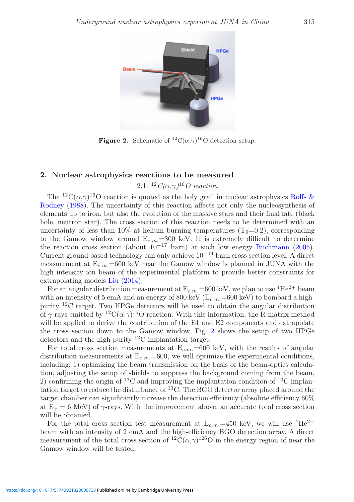<span id="page-4-0"></span>

**Figure 2.** Schematic of <sup>12</sup>C( $\alpha$ , $\gamma$ )<sup>16</sup>O detection setup.

### 2. Nuclear astrophysics reactions to be measured

### 2.1. <sup>12</sup>*C(*α*,*γ*)*<sup>16</sup>*O reaction*

The <sup>12</sup>C( $\alpha$ , $\gamma$ )<sup>16</sup>[O](#page-9-8) [reaction](#page-9-8) [is](#page-9-8) [quoted](#page-9-8) [as](#page-9-8) [the](#page-9-8) [holy](#page-9-8) [grail](#page-9-8) [in](#page-9-8) [nuclear](#page-9-8) [astrophysics](#page-9-8) Rolfs & Rodney [\(1988\)](#page-9-8). The uncertainty of this reaction affects not only the nucleosynthesis of elements up to iron, but also the evolution of the massive stars and their final fate (black hole, neutron star). The cross section of this reaction needs to be determined with an uncertainty of less than  $10\%$  at helium burning temperatures (T<sub>9</sub>=0.2), corresponding to the Gamow window around  $E_{c.m.}=300$  keV. It is extremely difficult to determine the reaction cross section (about  $10^{-17}$  barn) at such low energy [Buchmann](#page-9-9) [\(2005\)](#page-9-9). Current ground based technology can only achieve  $10^{-14}$  barn cross section level. A direct measurement at  $E_{c.m.}=600$  keV near the Gamow window is planned in JUNA with the high intensity ion beam of the experimental platform to provide better constraints for extrapolating models [Liu](#page-9-10) [\(2014\)](#page-9-10).

For an angular distribution measurement at  $E_{c.m.}=600$  keV, we plan to use <sup>4</sup>He<sup>2+</sup> beam with an intensity of 5 emA and an energy of 800 keV ( $E_{c.m.}=600$  keV) to bombard a highpurity  ${}^{12}C$  target. Two HPGe detectors will be used to obtain the angular distribution of  $\gamma$ -rays emitted by <sup>12</sup>C( $\alpha$ , $\gamma$ )<sup>16</sup>O reaction. With this information, the R-matrix method will be applied to derive the contribution of the E1 and E2 components and extrapolate the cross section down to the Gamow window. Fig. [2](#page-4-0) shows the setup of two HPGe detectors and the high-purity <sup>12</sup>C implantation target.

For total cross section measurements at  $E_{c.m.}=600$  keV, with the results of angular distribution measurements at  $E_{c.m.}=600$ , we will optimize the experimental conditions, including: 1) optimizing the beam transmission on the basis of the beam-optics calculation, adjusting the setup of shields to suppress the background coming from the beam, 2) confirming the origin of <sup>13</sup>C and improving the implantation condition of <sup>12</sup>C implantation target to reduce the disturbance of  $^{13}$ C. The BGO detector array placed around the target chamber can significantly increase the detection efficiency (absolute efficiency 60% at  $E_{\gamma} = 6$  MeV) of  $\gamma$ -rays. With the improvement above, an accurate total cross section will be obtained.

For the total cross section test measurement at  $E_{c.m.}=450$  keV, we will use <sup>4</sup>He<sup>2+</sup> beam with an intensity of 2 emA and the high-efficiency BGO detection array. A direct measurement of the total cross section of  ${}^{12}C(\alpha,\gamma){}^{126}O$  in the energy region of near the Gamow window will be tested.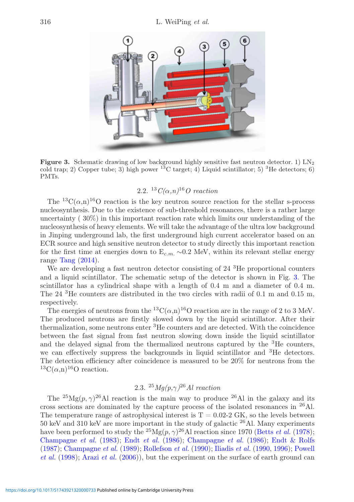<span id="page-5-0"></span>

Figure 3. Schematic drawing of low background highly sensitive fast neutron detector. 1)  $LN_2$ cold trap; 2) Copper tube; 3) high power  $^{13}$ C target; 4) Liquid scintillator; 5) <sup>3</sup>He detectors; 6) PMTs.

#### 2.2. <sup>13</sup>*C(*α*,n)*<sup>16</sup>*O reaction*

The <sup>13</sup>C( $\alpha$ ,n)<sup>16</sup>O reaction is the key neutron source reaction for the stellar s-process nucleosynthesis. Due to the existence of sub-threshold resonances, there is a rather large uncertainty ( 30%) in this important reaction rate which limits our understanding of the nucleosynthesis of heavy elements. We will take the advantage of the ultra low background in Jinping underground lab, the first underground high current accelerator based on an ECR source and high sensitive neutron detector to study directly this important reaction for the first time at energies down to  $E_{c.m.} \sim 0.2$  MeV, within its relevant stellar energy range  $\text{Tang}(2014)$  $\text{Tang}(2014)$  $\text{Tang}(2014)$  $\text{Tang}(2014)$  $\text{Tang}(2014)$ .

We are developing a fast neutron detector consisting of 24 <sup>3</sup>He proportional counters and a liquid scintillator. The schematic setup of the detector is shown in Fig. [3.](#page-5-0) The scintillator has a cylindrical shape with a length of 0.4 m and a diameter of 0.4 m. The 24<sup>3</sup>He counters are distributed in the two circles with radii of 0.1 m and 0.15 m, respectively.

The energies of neutrons from the <sup>13</sup>C( $\alpha$ ,n)<sup>16</sup>O reaction are in the range of 2 to 3 MeV. The produced neutrons are firstly slowed down by the liquid scintillator. After their thermalization, some neutrons enter <sup>3</sup>He counters and are detected. With the coincidence between the fast signal from fast neutron slowing down inside the liquid scintillator and the delayed signal from the thermalized neutrons captured by the  ${}^{3}$ He counters, we can effectively suppress the backgrounds in liquid scintillator and <sup>3</sup>He detectors. The detection efficiency after coincidence is measured to be 20% for neutrons from the <sup>13</sup>C( $\alpha$ ,n)<sup>16</sup>O reaction.

### 2.3. <sup>25</sup>*Mg(p,*γ*)*<sup>26</sup>*Al reaction*

The <sup>25</sup>Mg $(p, \gamma)$ <sup>26</sup>Al reaction is the main way to produce <sup>26</sup>Al in the galaxy and its cross sections are dominated by the capture process of the isolated resonances in  $^{26}$ Al. The temperature range of astrophysical interest is  $T = 0.02-2$  GK, so the levels between 50 keV and 310 keV are more important in the study of galactic  $^{26}$ Al. Many experiments have been performed to study the <sup>25</sup>Mg(p,  $\gamma$ )<sup>26</sup>Al reaction since 1970 [\(Betts](#page-9-12) *et al.* [\(1978\)](#page-9-12); [Champagne](#page-9-13) *et al.* [\(1983\)](#page-9-13); Endt *[et al.](#page-9-14)* [\(1986](#page-9-14)); [Champagne](#page-9-15) *et al.* [\(1986\)](#page-9-15); [Endt & Rolfs](#page-9-16) [\(1987\)](#page-9-16); [Champagne](#page-9-17) *et al.* [\(1989\)](#page-9-17); [Rollefson](#page-9-18) *et al.* [\(1990](#page-9-18)); [Iliadis](#page-9-19) *et al.* [\(1990,](#page-9-19) [1996](#page-9-20)); [Powell](#page-9-21) *[et al.](#page-9-21)* [\(1998\)](#page-9-22); [Arazi](#page-9-23) *et al.* [\(2006\)](#page-9-23)), but the experiment on the surface of earth ground can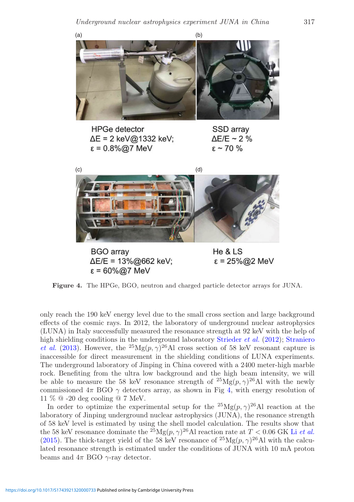<span id="page-6-0"></span>

**HPGe detector**  $\Delta E = 2 \text{ keV} \textcircled{a} 1332 \text{ keV}$ :  $\epsilon = 0.8\%$ @7 MeV

SSD array  $\Delta E/E \sim 2 \%$  $\epsilon$  ~ 70 %



Figure 4. The HPGe, BGO, neutron and charged particle detector arrays for JUNA.

only reach the 190 keV energy level due to the small cross section and large background effects of the cosmic rays. In 2012, the laboratory of underground nuclear astrophysics (LUNA) in Italy successfully measured the resonance strength at 92 keV with the help of high shielding conditions in the underground laboratory [Strieder](#page-9-24) *et al.* [\(2012\)](#page-9-24); [Straniero](#page-9-25) *[et al.](#page-9-25)* [\(2013\)](#page-9-26). However, the <sup>25</sup>Mg $(p, \gamma)^{26}$ Al cross section of 58 keV resonant capture is inaccessible for direct measurement in the shielding conditions of LUNA experiments. The underground laboratory of Jinping in China covered with a 2400 meter-high marble rock. Benefiting from the ultra low background and the high beam intensity, we will be able to measure the 58 keV resonance strength of  ${}^{25}Mg(p,\gamma){}^{26}Al$  with the newly commissioned  $4\pi$  BGO  $\gamma$  detectors array, as shown in Fig [4,](#page-6-0) with energy resolution of 11 % @ -20 deg cooling @ 7 MeV.

In order to optimize the experimental setup for the  ${}^{25}Mg(p,\gamma){}^{26}\text{Al}$  reaction at the laboratory of Jinping underground nuclear astrophysics (JUNA), the resonance strength of 58 keV level is estimated by using the shell model calculation. The results show that the 58 keV resonance dominate the  $^{25}Mg(p,\gamma)^{26}$ Al reaction rate at  $T < 0.06$  GK Li *[et al.](#page-9-27)* [\(2015\)](#page-9-27). The thick-target yield of the 58 keV resonance of  ${}^{25}Mg(p,\gamma){}^{26}Al$  with the calculated resonance strength is estimated under the conditions of JUNA with 10 mA proton beams and  $4\pi$  BGO  $\gamma$ -ray detector.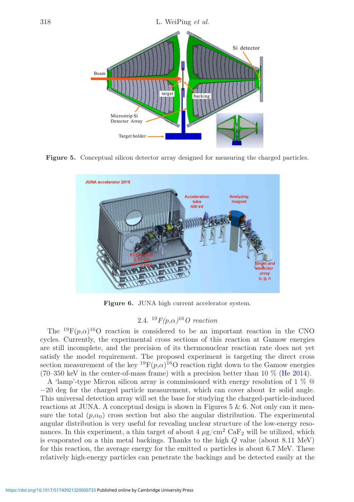<span id="page-7-0"></span>

<span id="page-7-1"></span>Figure 5. Conceptual silicon detector array designed for measuring the charged particles.



Figure 6. JUNA high current accelerator system.

## 2.4. <sup>19</sup>*F(*p*,*α*)*<sup>16</sup>*O reaction*

The <sup>19</sup>F( $p,\alpha$ )<sup>16</sup>O reaction is considered to be an important reaction in the CNO cycles. Currently, the experimental cross sections of this reaction at Gamow energies are still incomplete, and the precision of its thermonuclear reaction rate does not yet satisfy the model requirement. The proposed experiment is targeting the direct cross section measurement of the key  ${}^{19}F(p,\alpha){}^{16}O$  reaction right down to the Gamow energies (70–350 keV in the center-of-mass frame) with a precision better than 10 % [\(He 2014\)](#page-9-28).

A 'lamp'-type Micron silicon array is commissioned with energy resolution of 1 % @  $-20$  deg for the charged particle measurement, which can cover about  $4\pi$  solid angle. This universal detection array will set the base for studying the charged-particle-induced reactions at JUNA. A conceptual design is shown in Figures  $5 \& 6$  $5 \& 6$ . Not only can it measure the total  $(p,\alpha_0)$  cross section but also the angular distribution. The experimental angular distribution is very useful for revealing nuclear structure of the low-energy resonances. In this experiment, a thin target of about  $4 \mu g/cm^2$  CaF<sub>2</sub> will be utilized, which is evaporated on a thin metal backings. Thanks to the high Q value (about 8.11 MeV) for this reaction, the average energy for the emitted  $\alpha$  particles is about 6.7 MeV. These relatively high-energy particles can penetrate the backings and be detected easily at the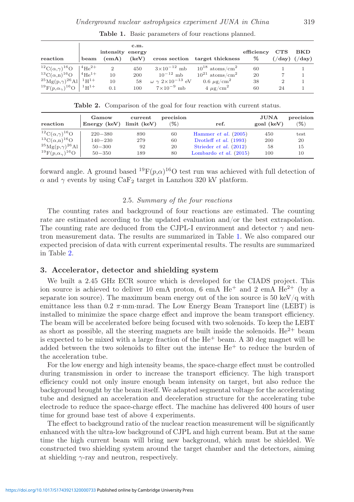<span id="page-8-0"></span>

| reaction                                            | beam | intensity energy<br>(emA) | c.m.<br>(keV) |                                    | cross section target thickness                         | efficiency<br>$\%$ | CTS | <b>BKD</b><br>$(\frac{\text{day}}{\text{day}})$ |
|-----------------------------------------------------|------|---------------------------|---------------|------------------------------------|--------------------------------------------------------|--------------------|-----|-------------------------------------------------|
| ${}^{12}C(\alpha,\gamma){}^{16}O$   ${}^{4}He^{2+}$ |      | $\overline{2}$            | 450           |                                    | $3 \times 10^{-12}$ mb $10^{18}$ atoms/cm <sup>2</sup> | 60                 |     |                                                 |
| ${}^{13}C(\alpha,n){}^{16}O$ $ {}^{4}He^{1+}$       |      | 10                        | 200           | $10^{-12}$ mb                      | $10^{21}$ atoms/cm <sup>2</sup>                        | 20                 |     |                                                 |
| $^{25}Mg(p,\gamma)^{26}Al$ $^{1}H^{1+}$             |      | 10                        | 58            | $\omega \gamma 2\times10^{-13}$ eV | 0.6 $\mu$ g/cm <sup>2</sup>                            | 38                 |     |                                                 |
| $^{19}F(p,\alpha_{\gamma})^{16}O$   $^{1}H^{1+}$    |      | 0.1                       | 100           | $7\times10^{-9}$ mb                | $4 \mu g/cm^2$                                         | 60                 | 24  |                                                 |

Table 1. Basic parameters of four reactions planned.

Table 2. Comparison of the goal for four reaction with current status.

<span id="page-8-1"></span>

| reaction                                               | Gamow<br>Energy $(keV)$ limit $(keV)$ | current | precision<br>$\%$ | ref.                            | <b>JUNA</b><br>goal (keV) | precision<br>$(\% )$ |
|--------------------------------------------------------|---------------------------------------|---------|-------------------|---------------------------------|---------------------------|----------------------|
| <sup>12</sup> C( $\alpha$ , $\gamma$ ) <sup>16</sup> O | $220 - 380$                           | 890     | 60                | Hammer <i>et al.</i> $(2005)$   | 450                       | test                 |
| ${}^{13}C(\alpha, n){}^{16}O$                          | $140 - 230$                           | 279     | 60                | Drotleff <i>et al.</i> $(1993)$ | 200                       | 20                   |
| $^{25}$ Mg(p, $\gamma$ ) <sup>26</sup> Al              | $50 - 300$                            | 92      | 20                | Strieder <i>et al.</i> $(2012)$ | 58                        | 15                   |
| $^{19}F(p,\alpha_{\gamma})^{16}O$                      | $50 - 350$                            | 189     | 80                | Lombardo et al. $(2015)$        | 100                       | 10                   |

forward angle. A ground based  ${}^{19}F(p,\alpha){}^{16}O$  test run was achieved with full detection of  $\alpha$  and  $\gamma$  events by using CaF<sub>2</sub> target in Lanzhou 320 kV platform.

#### 2.5. *Summary of the four reactions*

The counting rates and background of four reactions are estimated. The counting rate are estimated according to the updated evaluation and/or the best extrapolation. The counting rate are deduced from the CJPL-I environment and detector  $\gamma$  and neutron measurement data. The results are summarized in Table [1.](#page-8-0) We also compared our expected precision of data with current experimental results. The results are summarized in Table [2.](#page-8-1)

#### 3. Accelerator, detector and shielding system

We built a 2.45 GHz ECR source which is developed for the CIADS project. This ion source is achieved to deliver 10 emA proton, 6 emA  $He<sup>+</sup>$  and 2 emA  $He<sup>2+</sup>$  (by a separate ion source). The maximum beam energy out of the ion source is 50 keV/ $\alpha$  with emittance less than 0.2  $\pi$ ·mm·mrad. The Low Energy Beam Transport line (LEBT) is installed to minimize the space charge effect and improve the beam transport efficiency. The beam will be accelerated before being focused with two solenoids. To keep the LEBT as short as possible, all the steering magnets are built inside the solenoids.  $He^{2+}$  beam is expected to be mixed with a large fraction of the  $He<sup>+</sup>$  beam. A 30 deg magnet will be added between the two solenoids to filter out the intense  $He<sup>+</sup>$  to reduce the burden of the acceleration tube.

For the low energy and high intensity beams, the space-charge effect must be controlled during transmission in order to increase the transport efficiency. The high transport efficiency could not only insure enough beam intensity on target, but also reduce the background brought by the beam itself. We adapted segmental voltage for the accelerating tube and designed an acceleration and deceleration structure for the accelerating tube electrode to reduce the space-charge effect. The machine has delivered 400 hours of user time for ground base test of above 4 experiments.

The effect to background ratio of the nuclear reaction measurement will be significantly enhanced with the ultra-low background of CJPL and high current beam. But at the same time the high current beam will bring new background, which must be shielded. We constructed two shielding system around the target chamber and the detectors, aiming at shielding  $\gamma$ -ray and neutron, respectively.